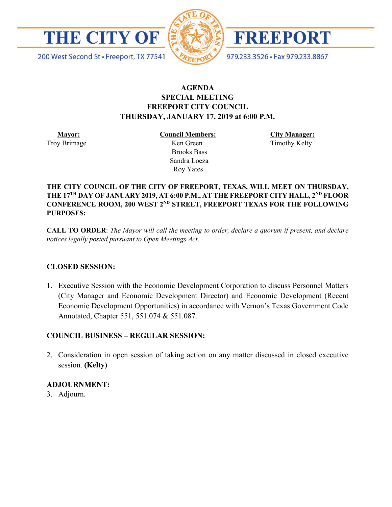

200 West Second St · Freeport, TX 77541



FREEPORT

979.233.3526 · Fax 979.233.8867

# **AGENDA SPECIAL MEETING FREEPORT CITY COUNCIL THURSDAY, JANUARY 17, 2019 at 6:00 P.M.**

 **Mayor:** Troy Brimage **Council Members:**

 Ken Green Brooks Bass Sandra Loeza Roy Yates

**City Manager:** Timothy Kelty

### **THE CITY COUNCIL OF THE CITY OF FREEPORT, TEXAS, WILL MEET ON THURSDAY, THE 17TH DAY OF JANUARY 2019, AT 6:00 P.M., AT THE FREEPORT CITY HALL, 2ND FLOOR CONFERENCE ROOM, 200 WEST 2ND STREET, FREEPORT TEXAS FOR THE FOLLOWING PURPOSES:**

**CALL TO ORDER**: *The Mayor will call the meeting to order, declare a quorum if present, and declare notices legally posted pursuant to Open Meetings Act*.

## **CLOSED SESSION:**

1. Executive Session with the Economic Development Corporation to discuss Personnel Matters (City Manager and Economic Development Director) and Economic Development (Recent Economic Development Opportunities) in accordance with Vernon's Texas Government Code Annotated, Chapter 551, 551.074 & 551.087.

## **COUNCIL BUSINESS – REGULAR SESSION:**

2. Consideration in open session of taking action on any matter discussed in closed executive session. **(Kelty)**

## **ADJOURNMENT:**

3. Adjourn.